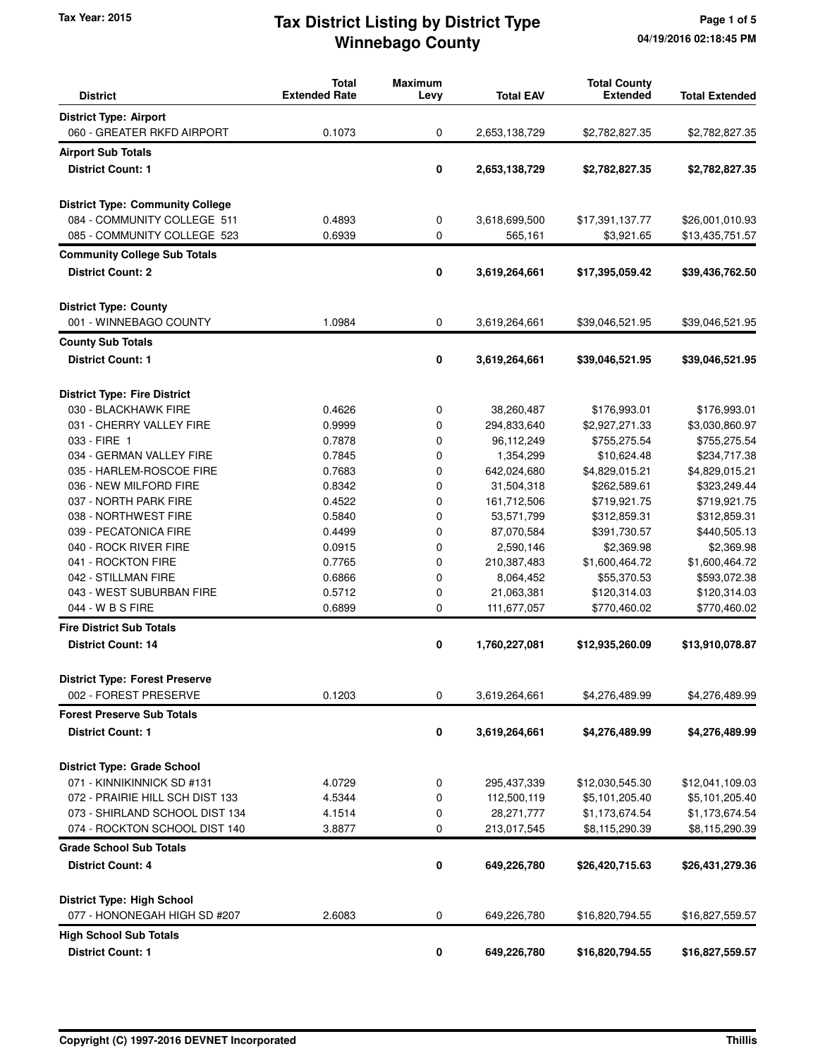## **Winnebago County** Tax Year: 2015 **Tax District Listing by District Type** Page 1 of 5

| <b>District</b>                                             | <b>Total</b><br><b>Extended Rate</b> | <b>Maximum</b><br>Levy | <b>Total EAV</b> | <b>Total County</b><br><b>Extended</b> | <b>Total Extended</b> |
|-------------------------------------------------------------|--------------------------------------|------------------------|------------------|----------------------------------------|-----------------------|
| <b>District Type: Airport</b>                               |                                      |                        |                  |                                        |                       |
| 060 - GREATER RKFD AIRPORT                                  | 0.1073                               | 0                      | 2,653,138,729    | \$2,782,827.35                         | \$2,782,827.35        |
| <b>Airport Sub Totals</b>                                   |                                      |                        |                  |                                        |                       |
| <b>District Count: 1</b>                                    |                                      | 0                      | 2,653,138,729    | \$2,782,827.35                         | \$2,782,827.35        |
|                                                             |                                      |                        |                  |                                        |                       |
| <b>District Type: Community College</b>                     |                                      |                        |                  |                                        |                       |
| 084 - COMMUNITY COLLEGE 511                                 | 0.4893                               | 0                      | 3,618,699,500    | \$17,391,137.77                        | \$26,001,010.93       |
| 085 - COMMUNITY COLLEGE 523                                 | 0.6939                               | 0                      | 565,161          | \$3,921.65                             | \$13,435,751.57       |
| <b>Community College Sub Totals</b>                         |                                      |                        |                  |                                        |                       |
| <b>District Count: 2</b>                                    |                                      | 0                      | 3,619,264,661    | \$17,395,059.42                        | \$39,436,762.50       |
|                                                             |                                      |                        |                  |                                        |                       |
| <b>District Type: County</b>                                |                                      |                        |                  |                                        |                       |
| 001 - WINNEBAGO COUNTY                                      | 1.0984                               | 0                      | 3,619,264,661    | \$39,046,521.95                        | \$39,046,521.95       |
| <b>County Sub Totals</b>                                    |                                      |                        |                  |                                        |                       |
| <b>District Count: 1</b>                                    |                                      | 0                      | 3,619,264,661    | \$39,046,521.95                        | \$39,046,521.95       |
|                                                             |                                      |                        |                  |                                        |                       |
|                                                             |                                      |                        |                  |                                        |                       |
| <b>District Type: Fire District</b><br>030 - BLACKHAWK FIRE | 0.4626                               | 0                      | 38,260,487       | \$176,993.01                           | \$176,993.01          |
| 031 - CHERRY VALLEY FIRE                                    | 0.9999                               | 0                      | 294,833,640      | \$2,927,271.33                         | \$3,030,860.97        |
| 033 - FIRE 1                                                | 0.7878                               | 0                      | 96,112,249       | \$755,275.54                           | \$755,275.54          |
| 034 - GERMAN VALLEY FIRE                                    | 0.7845                               | 0                      | 1,354,299        | \$10,624.48                            | \$234,717.38          |
| 035 - HARLEM-ROSCOE FIRE                                    | 0.7683                               | 0                      | 642,024,680      | \$4,829,015.21                         | \$4,829,015.21        |
|                                                             | 0.8342                               | 0                      |                  |                                        |                       |
| 036 - NEW MILFORD FIRE                                      |                                      |                        | 31,504,318       | \$262,589.61                           | \$323,249.44          |
| 037 - NORTH PARK FIRE                                       | 0.4522                               | 0                      | 161,712,506      | \$719,921.75                           | \$719,921.75          |
| 038 - NORTHWEST FIRE                                        | 0.5840                               | 0                      | 53,571,799       | \$312,859.31                           | \$312,859.31          |
| 039 - PECATONICA FIRE                                       | 0.4499                               | 0                      | 87,070,584       | \$391,730.57                           | \$440,505.13          |
| 040 - ROCK RIVER FIRE                                       | 0.0915                               | 0                      | 2,590,146        | \$2,369.98                             | \$2,369.98            |
| 041 - ROCKTON FIRE                                          | 0.7765                               | 0                      | 210,387,483      | \$1,600,464.72                         | \$1,600,464.72        |
| 042 - STILLMAN FIRE                                         | 0.6866                               | 0                      | 8,064,452        | \$55,370.53                            | \$593,072.38          |
| 043 - WEST SUBURBAN FIRE                                    | 0.5712                               | 0                      | 21,063,381       | \$120,314.03                           | \$120,314.03          |
| 044 - W B S FIRE                                            | 0.6899                               | 0                      | 111,677,057      | \$770,460.02                           | \$770,460.02          |
| <b>Fire District Sub Totals</b>                             |                                      |                        |                  |                                        |                       |
| <b>District Count: 14</b>                                   |                                      | 0                      | 1,760,227,081    | \$12,935,260.09                        | \$13,910,078.87       |
| <b>District Type: Forest Preserve</b>                       |                                      |                        |                  |                                        |                       |
| 002 - FOREST PRESERVE                                       | 0.1203                               | 0                      | 3,619,264,661    | \$4,276,489.99                         | \$4,276,489.99        |
| <b>Forest Preserve Sub Totals</b>                           |                                      |                        |                  |                                        |                       |
| <b>District Count: 1</b>                                    |                                      | $\pmb{0}$              | 3,619,264,661    | \$4,276,489.99                         | \$4,276,489.99        |
|                                                             |                                      |                        |                  |                                        |                       |
| <b>District Type: Grade School</b>                          |                                      |                        |                  |                                        |                       |
| 071 - KINNIKINNICK SD #131                                  | 4.0729                               | 0                      | 295,437,339      | \$12,030,545.30                        | \$12,041,109.03       |
| 072 - PRAIRIE HILL SCH DIST 133                             | 4.5344                               | 0                      | 112,500,119      | \$5,101,205.40                         | \$5,101,205.40        |
| 073 - SHIRLAND SCHOOL DIST 134                              | 4.1514                               | 0                      | 28,271,777       | \$1,173,674.54                         | \$1,173,674.54        |
| 074 - ROCKTON SCHOOL DIST 140                               | 3.8877                               | 0                      | 213,017,545      | \$8,115,290.39                         | \$8,115,290.39        |
| <b>Grade School Sub Totals</b>                              |                                      |                        |                  |                                        |                       |
| <b>District Count: 4</b>                                    |                                      | 0                      | 649,226,780      | \$26,420,715.63                        | \$26,431,279.36       |
| <b>District Type: High School</b>                           |                                      |                        |                  |                                        |                       |
| 077 - HONONEGAH HIGH SD #207                                | 2.6083                               | 0                      | 649,226,780      | \$16,820,794.55                        | \$16,827,559.57       |
| <b>High School Sub Totals</b>                               |                                      |                        |                  |                                        |                       |
| <b>District Count: 1</b>                                    |                                      | 0                      | 649,226,780      | \$16,820,794.55                        | \$16,827,559.57       |
|                                                             |                                      |                        |                  |                                        |                       |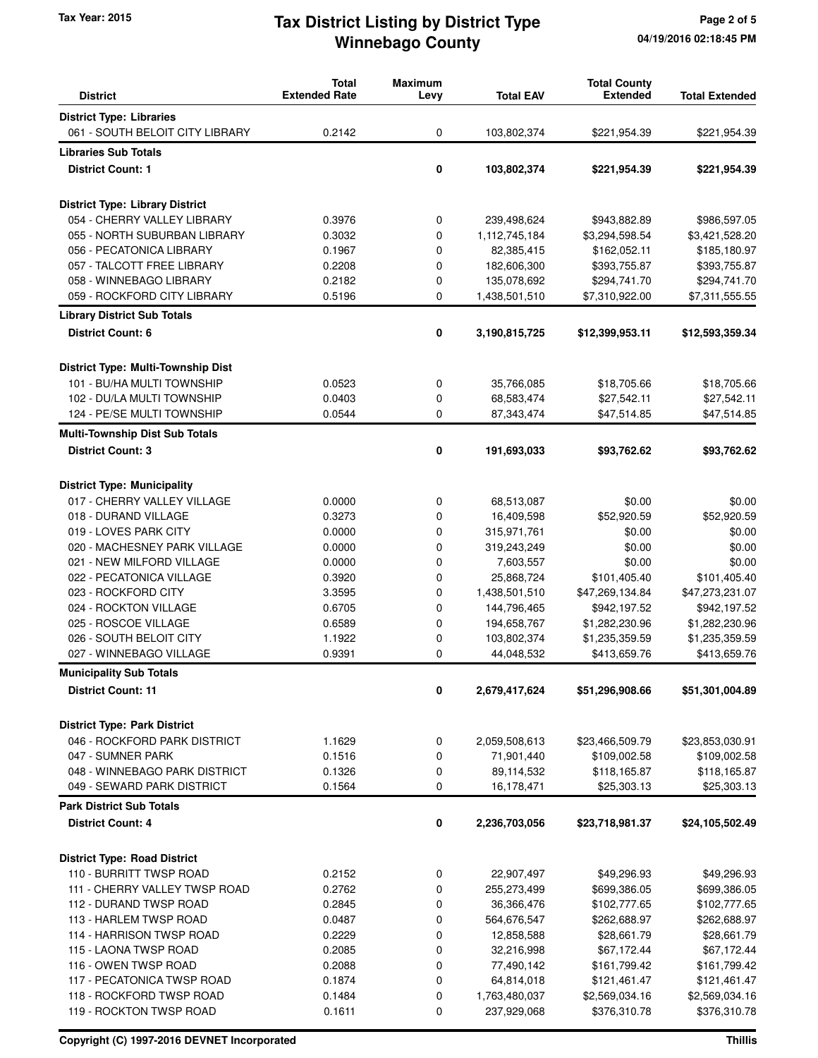## **Winnebago County** Tax Year: 2015 **Tax District Listing by District Type** Page 2 of 5

| <b>District</b>                        | <b>Total</b><br><b>Extended Rate</b> | <b>Maximum</b><br>Levy | <b>Total EAV</b> | <b>Total County</b><br><b>Extended</b> | <b>Total Extended</b> |
|----------------------------------------|--------------------------------------|------------------------|------------------|----------------------------------------|-----------------------|
| <b>District Type: Libraries</b>        |                                      |                        |                  |                                        |                       |
| 061 - SOUTH BELOIT CITY LIBRARY        | 0.2142                               | 0                      | 103,802,374      | \$221,954.39                           | \$221,954.39          |
| <b>Libraries Sub Totals</b>            |                                      |                        |                  |                                        |                       |
|                                        |                                      |                        |                  |                                        |                       |
| <b>District Count: 1</b>               |                                      | 0                      | 103,802,374      | \$221,954.39                           | \$221,954.39          |
| <b>District Type: Library District</b> |                                      |                        |                  |                                        |                       |
| 054 - CHERRY VALLEY LIBRARY            | 0.3976                               | 0                      | 239,498,624      | \$943,882.89                           | \$986,597.05          |
| 055 - NORTH SUBURBAN LIBRARY           | 0.3032                               | 0                      | 1,112,745,184    | \$3,294,598.54                         | \$3,421,528.20        |
| 056 - PECATONICA LIBRARY               | 0.1967                               | 0                      | 82,385,415       | \$162,052.11                           | \$185,180.97          |
| 057 - TALCOTT FREE LIBRARY             | 0.2208                               | 0                      | 182,606,300      | \$393,755.87                           | \$393,755.87          |
| 058 - WINNEBAGO LIBRARY                | 0.2182                               | 0                      | 135,078,692      | \$294,741.70                           | \$294,741.70          |
| 059 - ROCKFORD CITY LIBRARY            | 0.5196                               | 0                      | 1,438,501,510    | \$7,310,922.00                         | \$7,311,555.55        |
| <b>Library District Sub Totals</b>     |                                      |                        |                  |                                        |                       |
| <b>District Count: 6</b>               |                                      | 0                      | 3,190,815,725    | \$12,399,953.11                        | \$12,593,359.34       |
| District Type: Multi-Township Dist     |                                      |                        |                  |                                        |                       |
| 101 - BU/HA MULTI TOWNSHIP             | 0.0523                               | 0                      | 35,766,085       | \$18,705.66                            | \$18,705.66           |
| 102 - DU/LA MULTI TOWNSHIP             | 0.0403                               | 0                      | 68,583,474       | \$27,542.11                            | \$27,542.11           |
| 124 - PE/SE MULTI TOWNSHIP             | 0.0544                               | 0                      | 87,343,474       | \$47,514.85                            | \$47,514.85           |
|                                        |                                      |                        |                  |                                        |                       |
| <b>Multi-Township Dist Sub Totals</b>  |                                      |                        |                  |                                        |                       |
| <b>District Count: 3</b>               |                                      | 0                      | 191,693,033      | \$93,762.62                            | \$93,762.62           |
| <b>District Type: Municipality</b>     |                                      |                        |                  |                                        |                       |
| 017 - CHERRY VALLEY VILLAGE            | 0.0000                               | 0                      | 68,513,087       | \$0.00                                 | \$0.00                |
| 018 - DURAND VILLAGE                   | 0.3273                               | 0                      | 16,409,598       | \$52,920.59                            | \$52,920.59           |
| 019 - LOVES PARK CITY                  | 0.0000                               | 0                      | 315,971,761      | \$0.00                                 | \$0.00                |
| 020 - MACHESNEY PARK VILLAGE           | 0.0000                               | 0                      | 319,243,249      | \$0.00                                 | \$0.00                |
| 021 - NEW MILFORD VILLAGE              | 0.0000                               | 0                      | 7,603,557        | \$0.00                                 | \$0.00                |
| 022 - PECATONICA VILLAGE               | 0.3920                               | 0                      | 25,868,724       | \$101,405.40                           | \$101,405.40          |
| 023 - ROCKFORD CITY                    | 3.3595                               | 0                      | 1,438,501,510    | \$47,269,134.84                        | \$47,273,231.07       |
| 024 - ROCKTON VILLAGE                  | 0.6705                               | 0                      | 144,796,465      | \$942,197.52                           | \$942,197.52          |
| 025 - ROSCOE VILLAGE                   | 0.6589                               | 0                      | 194,658,767      | \$1,282,230.96                         | \$1,282,230.96        |
| 026 - SOUTH BELOIT CITY                | 1.1922                               | 0                      | 103,802,374      | \$1,235,359.59                         | \$1,235,359.59        |
| 027 - WINNEBAGO VILLAGE                | 0.9391                               | 0                      | 44,048,532       | \$413,659.76                           | \$413,659.76          |
| <b>Municipality Sub Totals</b>         |                                      |                        |                  |                                        |                       |
| <b>District Count: 11</b>              |                                      | 0                      | 2,679,417,624    | \$51,296,908.66                        | \$51,301,004.89       |
| <b>District Type: Park District</b>    |                                      |                        |                  |                                        |                       |
| 046 - ROCKFORD PARK DISTRICT           | 1.1629                               | 0                      | 2,059,508,613    | \$23,466,509.79                        | \$23,853,030.91       |
| 047 - SUMNER PARK                      | 0.1516                               | 0                      | 71,901,440       | \$109,002.58                           | \$109,002.58          |
| 048 - WINNEBAGO PARK DISTRICT          | 0.1326                               | 0                      | 89,114,532       | \$118,165.87                           | \$118,165.87          |
| 049 - SEWARD PARK DISTRICT             | 0.1564                               | 0                      | 16,178,471       | \$25,303.13                            | \$25,303.13           |
| <b>Park District Sub Totals</b>        |                                      |                        |                  |                                        |                       |
| <b>District Count: 4</b>               |                                      | 0                      | 2,236,703,056    | \$23,718,981.37                        | \$24,105,502.49       |
| <b>District Type: Road District</b>    |                                      |                        |                  |                                        |                       |
| 110 - BURRITT TWSP ROAD                | 0.2152                               | 0                      | 22,907,497       | \$49,296.93                            | \$49,296.93           |
| 111 - CHERRY VALLEY TWSP ROAD          | 0.2762                               | 0                      | 255,273,499      | \$699,386.05                           | \$699,386.05          |
| 112 - DURAND TWSP ROAD                 | 0.2845                               | 0                      | 36,366,476       | \$102,777.65                           | \$102,777.65          |
| 113 - HARLEM TWSP ROAD                 | 0.0487                               | 0                      | 564,676,547      | \$262,688.97                           | \$262,688.97          |
| 114 - HARRISON TWSP ROAD               | 0.2229                               | 0                      | 12,858,588       | \$28,661.79                            | \$28,661.79           |
| 115 - LAONA TWSP ROAD                  | 0.2085                               | 0                      | 32,216,998       | \$67,172.44                            | \$67,172.44           |
| 116 - OWEN TWSP ROAD                   | 0.2088                               | 0                      | 77,490,142       | \$161,799.42                           | \$161,799.42          |
| 117 - PECATONICA TWSP ROAD             | 0.1874                               | 0                      | 64,814,018       | \$121,461.47                           | \$121,461.47          |
| 118 - ROCKFORD TWSP ROAD               | 0.1484                               | 0                      | 1,763,480,037    | \$2,569,034.16                         | \$2,569,034.16        |
| 119 - ROCKTON TWSP ROAD                | 0.1611                               | 0                      | 237,929,068      | \$376,310.78                           | \$376,310.78          |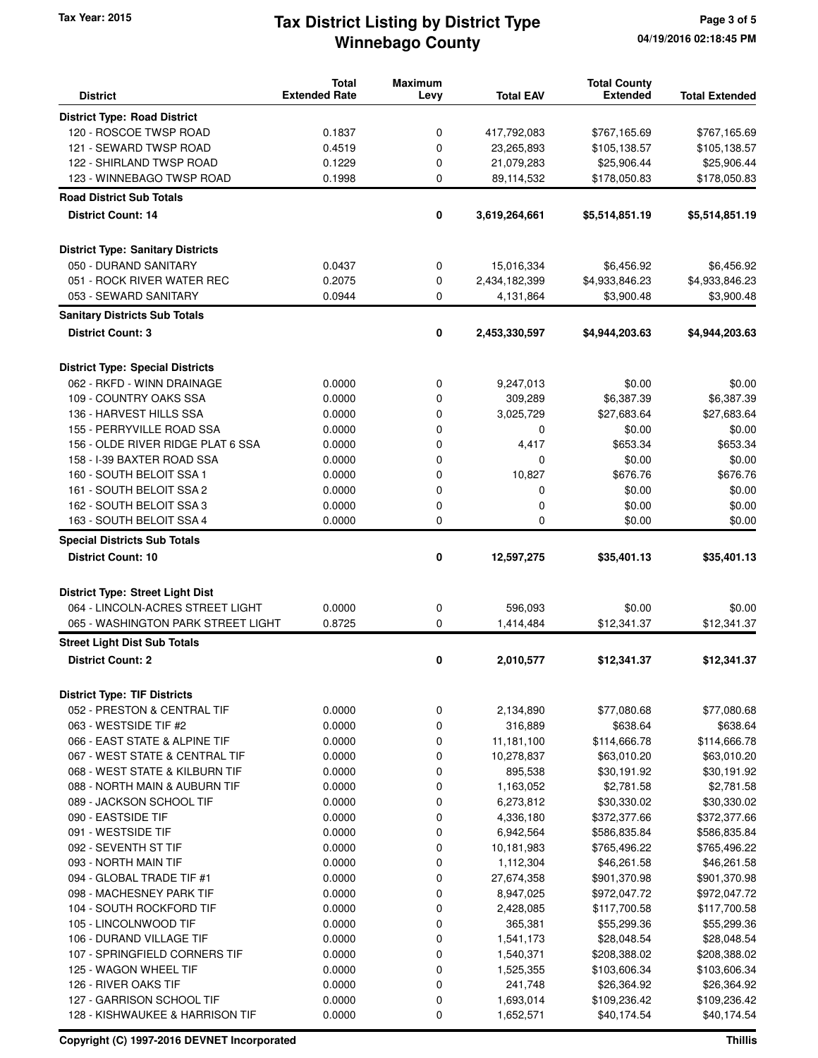## **Winnebago County** Tax Year: 2015 **Tax District Listing by District Type** Page 3 of 5

| <b>District</b>                          | <b>Total</b><br><b>Extended Rate</b> | <b>Maximum</b><br>Levy | <b>Total EAV</b> | <b>Total County</b><br><b>Extended</b> | <b>Total Extended</b> |
|------------------------------------------|--------------------------------------|------------------------|------------------|----------------------------------------|-----------------------|
|                                          |                                      |                        |                  |                                        |                       |
| <b>District Type: Road District</b>      |                                      |                        |                  |                                        |                       |
| 120 - ROSCOE TWSP ROAD                   | 0.1837                               | 0                      | 417,792,083      | \$767,165.69                           | \$767,165.69          |
| 121 - SEWARD TWSP ROAD                   | 0.4519                               | 0                      | 23,265,893       | \$105,138.57                           | \$105,138.57          |
| 122 - SHIRLAND TWSP ROAD                 | 0.1229                               | 0                      | 21,079,283       | \$25,906.44                            | \$25,906.44           |
| 123 - WINNEBAGO TWSP ROAD                | 0.1998                               | 0                      | 89,114,532       | \$178,050.83                           | \$178,050.83          |
| <b>Road District Sub Totals</b>          |                                      |                        |                  |                                        |                       |
| <b>District Count: 14</b>                |                                      | 0                      | 3,619,264,661    | \$5,514,851.19                         | \$5,514,851.19        |
| <b>District Type: Sanitary Districts</b> |                                      |                        |                  |                                        |                       |
| 050 - DURAND SANITARY                    | 0.0437                               | 0                      | 15,016,334       | \$6,456.92                             | \$6,456.92            |
| 051 - ROCK RIVER WATER REC               | 0.2075                               | 0                      | 2,434,182,399    | \$4,933,846.23                         | \$4,933,846.23        |
| 053 - SEWARD SANITARY                    | 0.0944                               | 0                      | 4,131,864        | \$3,900.48                             | \$3,900.48            |
| <b>Sanitary Districts Sub Totals</b>     |                                      |                        |                  |                                        |                       |
| <b>District Count: 3</b>                 |                                      | 0                      | 2,453,330,597    | \$4,944,203.63                         | \$4,944,203.63        |
|                                          |                                      |                        |                  |                                        |                       |
| <b>District Type: Special Districts</b>  |                                      |                        |                  |                                        |                       |
| 062 - RKFD - WINN DRAINAGE               | 0.0000                               | 0                      | 9,247,013        | \$0.00                                 | \$0.00                |
| 109 - COUNTRY OAKS SSA                   | 0.0000                               | 0                      | 309,289          | \$6,387.39                             | \$6,387.39            |
| 136 - HARVEST HILLS SSA                  | 0.0000                               | 0                      | 3,025,729        | \$27,683.64                            | \$27,683.64           |
| 155 - PERRYVILLE ROAD SSA                | 0.0000                               | 0                      | 0                | \$0.00                                 | \$0.00                |
| 156 - OLDE RIVER RIDGE PLAT 6 SSA        | 0.0000                               | 0                      | 4,417            | \$653.34                               | \$653.34              |
| 158 - I-39 BAXTER ROAD SSA               | 0.0000                               | 0                      | 0                | \$0.00                                 | \$0.00                |
| 160 - SOUTH BELOIT SSA 1                 | 0.0000                               | 0                      | 10,827           | \$676.76                               | \$676.76              |
| 161 - SOUTH BELOIT SSA 2                 | 0.0000                               | 0                      | 0                | \$0.00                                 | \$0.00                |
| 162 - SOUTH BELOIT SSA 3                 | 0.0000                               | 0                      | 0                | \$0.00                                 | \$0.00                |
| 163 - SOUTH BELOIT SSA 4                 | 0.0000                               | 0                      | 0                | \$0.00                                 | \$0.00                |
| <b>Special Districts Sub Totals</b>      |                                      |                        |                  |                                        |                       |
| <b>District Count: 10</b>                |                                      | 0                      | 12,597,275       | \$35,401.13                            | \$35,401.13           |
|                                          |                                      |                        |                  |                                        |                       |
| <b>District Type: Street Light Dist</b>  |                                      |                        |                  |                                        |                       |
| 064 - LINCOLN-ACRES STREET LIGHT         | 0.0000                               | 0                      | 596,093          | \$0.00                                 | \$0.00                |
| 065 - WASHINGTON PARK STREET LIGHT       | 0.8725                               | 0                      | 1,414,484        | \$12,341.37                            | \$12,341.37           |
| <b>Street Light Dist Sub Totals</b>      |                                      |                        |                  |                                        |                       |
| <b>District Count: 2</b>                 |                                      | 0                      | 2,010,577        | \$12,341.37                            | \$12,341.37           |
| <b>District Type: TIF Districts</b>      |                                      |                        |                  |                                        |                       |
| 052 - PRESTON & CENTRAL TIF              | 0.0000                               | 0                      | 2,134,890        | \$77,080.68                            | \$77,080.68           |
| 063 - WESTSIDE TIF #2                    | 0.0000                               | 0                      | 316,889          | \$638.64                               | \$638.64              |
| 066 - EAST STATE & ALPINE TIF            | 0.0000                               | 0                      | 11,181,100       | \$114,666.78                           | \$114,666.78          |
| 067 - WEST STATE & CENTRAL TIF           | 0.0000                               | 0                      | 10,278,837       | \$63,010.20                            | \$63,010.20           |
| 068 - WEST STATE & KILBURN TIF           | 0.0000                               | 0                      | 895,538          | \$30,191.92                            | \$30,191.92           |
| 088 - NORTH MAIN & AUBURN TIF            | 0.0000                               | 0                      | 1,163,052        | \$2,781.58                             | \$2,781.58            |
| 089 - JACKSON SCHOOL TIF                 | 0.0000                               | 0                      | 6,273,812        | \$30,330.02                            | \$30,330.02           |
| 090 - EASTSIDE TIF                       | 0.0000                               | 0                      | 4,336,180        | \$372,377.66                           | \$372,377.66          |
| 091 - WESTSIDE TIF                       | 0.0000                               | 0                      | 6,942,564        | \$586,835.84                           | \$586,835.84          |
| 092 - SEVENTH ST TIF                     | 0.0000                               | 0                      | 10,181,983       | \$765,496.22                           | \$765,496.22          |
| 093 - NORTH MAIN TIF                     | 0.0000                               | 0                      | 1,112,304        | \$46,261.58                            | \$46,261.58           |
| 094 - GLOBAL TRADE TIF #1                | 0.0000                               | 0                      | 27,674,358       | \$901,370.98                           | \$901,370.98          |
| 098 - MACHESNEY PARK TIF                 | 0.0000                               | 0                      | 8,947,025        | \$972,047.72                           | \$972,047.72          |
| 104 - SOUTH ROCKFORD TIF                 | 0.0000                               | 0                      | 2,428,085        | \$117,700.58                           | \$117,700.58          |
| 105 - LINCOLNWOOD TIF                    | 0.0000                               | 0                      | 365,381          | \$55,299.36                            | \$55,299.36           |
| 106 - DURAND VILLAGE TIF                 | 0.0000                               | 0                      | 1,541,173        | \$28,048.54                            | \$28,048.54           |
| 107 - SPRINGFIELD CORNERS TIF            | 0.0000                               | 0                      | 1,540,371        | \$208,388.02                           | \$208,388.02          |
| 125 - WAGON WHEEL TIF                    | 0.0000                               | 0                      | 1,525,355        | \$103,606.34                           | \$103,606.34          |
| 126 - RIVER OAKS TIF                     | 0.0000                               | 0                      | 241,748          | \$26,364.92                            | \$26,364.92           |
| 127 - GARRISON SCHOOL TIF                | 0.0000                               | 0                      | 1,693,014        | \$109,236.42                           | \$109,236.42          |
| 128 - KISHWAUKEE & HARRISON TIF          | 0.0000                               | 0                      | 1,652,571        | \$40,174.54                            | \$40,174.54           |

**Copyright (C) 1997-2016 DEVNET Incorporated Thillis**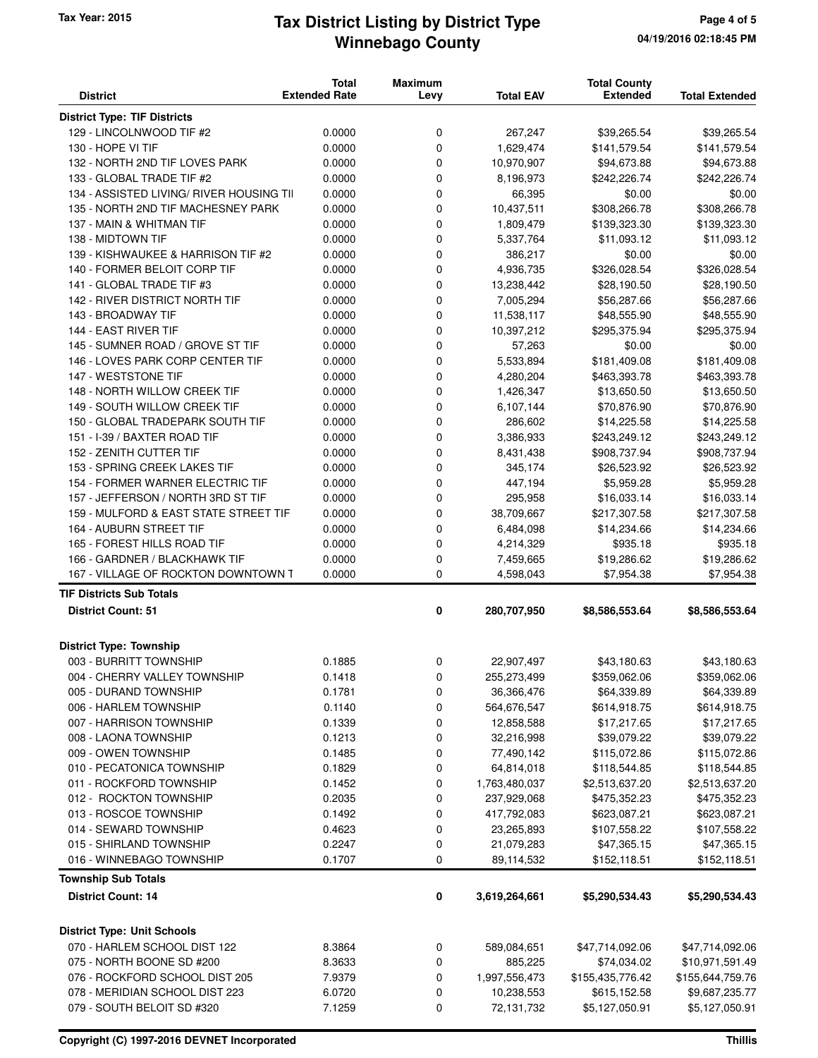## **Winnebago County** Tax Year: 2015 **Tax District Listing by District Type** Page 4 of 5

| <b>District</b>                          | <b>Total</b><br><b>Extended Rate</b> | <b>Maximum</b><br>Levy | <b>Total EAV</b> | <b>Total County</b><br><b>Extended</b> | <b>Total Extended</b> |
|------------------------------------------|--------------------------------------|------------------------|------------------|----------------------------------------|-----------------------|
| <b>District Type: TIF Districts</b>      |                                      |                        |                  |                                        |                       |
| 129 - LINCOLNWOOD TIF #2                 | 0.0000                               | 0                      | 267,247          | \$39,265.54                            | \$39,265.54           |
| 130 - HOPE VI TIF                        | 0.0000                               | 0                      | 1,629,474        | \$141,579.54                           | \$141,579.54          |
| 132 - NORTH 2ND TIF LOVES PARK           | 0.0000                               | 0                      | 10,970,907       | \$94,673.88                            | \$94,673.88           |
| 133 - GLOBAL TRADE TIF #2                | 0.0000                               | 0                      | 8,196,973        | \$242,226.74                           | \$242,226.74          |
| 134 - ASSISTED LIVING/ RIVER HOUSING TII | 0.0000                               | 0                      | 66,395           | \$0.00                                 | \$0.00                |
| 135 - NORTH 2ND TIF MACHESNEY PARK       | 0.0000                               | 0                      | 10,437,511       | \$308,266.78                           | \$308,266.78          |
| 137 - MAIN & WHITMAN TIF                 | 0.0000                               | 0                      | 1,809,479        | \$139,323.30                           | \$139,323.30          |
| 138 - MIDTOWN TIF                        | 0.0000                               | 0                      | 5,337,764        | \$11,093.12                            | \$11,093.12           |
| 139 - KISHWAUKEE & HARRISON TIF #2       | 0.0000                               | 0                      | 386,217          | \$0.00                                 | \$0.00                |
| 140 - FORMER BELOIT CORP TIF             | 0.0000                               | 0                      | 4,936,735        | \$326,028.54                           | \$326,028.54          |
| 141 - GLOBAL TRADE TIF #3                | 0.0000                               | 0                      | 13,238,442       | \$28,190.50                            | \$28,190.50           |
| 142 - RIVER DISTRICT NORTH TIF           | 0.0000                               | 0                      | 7,005,294        | \$56,287.66                            | \$56,287.66           |
| 143 - BROADWAY TIF                       | 0.0000                               | 0                      | 11,538,117       | \$48,555.90                            | \$48,555.90           |
| 144 - EAST RIVER TIF                     | 0.0000                               | 0                      | 10,397,212       | \$295,375.94                           | \$295,375.94          |
| 145 - SUMNER ROAD / GROVE ST TIF         | 0.0000                               | 0                      | 57,263           | \$0.00                                 | \$0.00                |
| 146 - LOVES PARK CORP CENTER TIF         | 0.0000                               | 0                      | 5,533,894        | \$181,409.08                           | \$181,409.08          |
| 147 - WESTSTONE TIF                      | 0.0000                               | 0                      | 4,280,204        | \$463,393.78                           | \$463,393.78          |
| 148 - NORTH WILLOW CREEK TIF             | 0.0000                               | 0                      | 1,426,347        | \$13,650.50                            | \$13,650.50           |
| 149 - SOUTH WILLOW CREEK TIF             | 0.0000                               | 0                      | 6,107,144        | \$70,876.90                            | \$70,876.90           |
| 150 - GLOBAL TRADEPARK SOUTH TIF         | 0.0000                               | 0                      | 286,602          | \$14,225.58                            | \$14,225.58           |
| 151 - I-39 / BAXTER ROAD TIF             | 0.0000                               | 0                      | 3,386,933        | \$243,249.12                           | \$243,249.12          |
| 152 - ZENITH CUTTER TIF                  | 0.0000                               | 0                      | 8,431,438        | \$908,737.94                           | \$908,737.94          |
| 153 - SPRING CREEK LAKES TIF             | 0.0000                               | 0                      | 345,174          | \$26,523.92                            | \$26,523.92           |
| 154 - FORMER WARNER ELECTRIC TIF         | 0.0000                               | 0                      | 447,194          | \$5,959.28                             | \$5,959.28            |
| 157 - JEFFERSON / NORTH 3RD ST TIF       | 0.0000                               | 0                      | 295,958          | \$16,033.14                            | \$16,033.14           |
| 159 - MULFORD & EAST STATE STREET TIF    | 0.0000                               | 0                      | 38,709,667       | \$217,307.58                           | \$217,307.58          |
| 164 - AUBURN STREET TIF                  | 0.0000                               | 0                      | 6,484,098        | \$14,234.66                            | \$14,234.66           |
| 165 - FOREST HILLS ROAD TIF              | 0.0000                               | 0                      | 4,214,329        | \$935.18                               | \$935.18              |
| 166 - GARDNER / BLACKHAWK TIF            | 0.0000                               | 0                      | 7,459,665        | \$19,286.62                            | \$19,286.62           |
| 167 - VILLAGE OF ROCKTON DOWNTOWN T      | 0.0000                               | $\mathbf 0$            | 4,598,043        | \$7,954.38                             | \$7,954.38            |
| <b>TIF Districts Sub Totals</b>          |                                      |                        |                  |                                        |                       |
| <b>District Count: 51</b>                |                                      | 0                      | 280,707,950      | \$8,586,553.64                         | \$8,586,553.64        |
| <b>District Type: Township</b>           |                                      |                        |                  |                                        |                       |
| 003 - BURRITT TOWNSHIP                   | 0.1885                               | 0                      | 22,907,497       | \$43,180.63                            | \$43,180.63           |
| 004 - CHERRY VALLEY TOWNSHIP             | 0.1418                               | 0                      | 255,273,499      | \$359,062.06                           | \$359,062.06          |
| 005 - DURAND TOWNSHIP                    | 0.1781                               | 0                      | 36,366,476       | \$64,339.89                            | \$64,339.89           |
| 006 - HARLEM TOWNSHIP                    | 0.1140                               | 0                      | 564,676,547      | \$614,918.75                           | \$614,918.75          |
| 007 - HARRISON TOWNSHIP                  | 0.1339                               | 0                      | 12,858,588       | \$17,217.65                            | \$17,217.65           |
| 008 - LAONA TOWNSHIP                     | 0.1213                               | 0                      | 32,216,998       | \$39,079.22                            | \$39,079.22           |
| 009 - OWEN TOWNSHIP                      | 0.1485                               | 0                      | 77,490,142       | \$115,072.86                           | \$115,072.86          |
| 010 - PECATONICA TOWNSHIP                | 0.1829                               | 0                      | 64,814,018       | \$118,544.85                           | \$118,544.85          |
| 011 - ROCKFORD TOWNSHIP                  | 0.1452                               | 0                      | 1,763,480,037    | \$2,513,637.20                         | \$2,513,637.20        |
| 012 - ROCKTON TOWNSHIP                   | 0.2035                               | 0                      | 237,929,068      | \$475,352.23                           | \$475,352.23          |
| 013 - ROSCOE TOWNSHIP                    | 0.1492                               | 0                      | 417,792,083      | \$623,087.21                           | \$623,087.21          |
| 014 - SEWARD TOWNSHIP                    | 0.4623                               | 0                      | 23,265,893       | \$107,558.22                           | \$107,558.22          |
| 015 - SHIRLAND TOWNSHIP                  | 0.2247                               | 0                      | 21,079,283       | \$47,365.15                            | \$47,365.15           |
| 016 - WINNEBAGO TOWNSHIP                 | 0.1707                               | 0                      | 89,114,532       | \$152,118.51                           | \$152,118.51          |
| <b>Township Sub Totals</b>               |                                      |                        |                  |                                        |                       |
| <b>District Count: 14</b>                |                                      | 0                      | 3,619,264,661    | \$5,290,534.43                         | \$5,290,534.43        |
| <b>District Type: Unit Schools</b>       |                                      |                        |                  |                                        |                       |
| 070 - HARLEM SCHOOL DIST 122             | 8.3864                               | 0                      | 589,084,651      | \$47,714,092.06                        | \$47,714,092.06       |
| 075 - NORTH BOONE SD #200                | 8.3633                               | 0                      | 885,225          | \$74,034.02                            | \$10,971,591.49       |
| 076 - ROCKFORD SCHOOL DIST 205           | 7.9379                               | 0                      | 1,997,556,473    | \$155,435,776.42                       | \$155,644,759.76      |
| 078 - MERIDIAN SCHOOL DIST 223           | 6.0720                               | 0                      | 10,238,553       | \$615,152.58                           | \$9,687,235.77        |
| 079 - SOUTH BELOIT SD #320               | 7.1259                               | 0                      | 72,131,732       | \$5,127,050.91                         | \$5,127,050.91        |